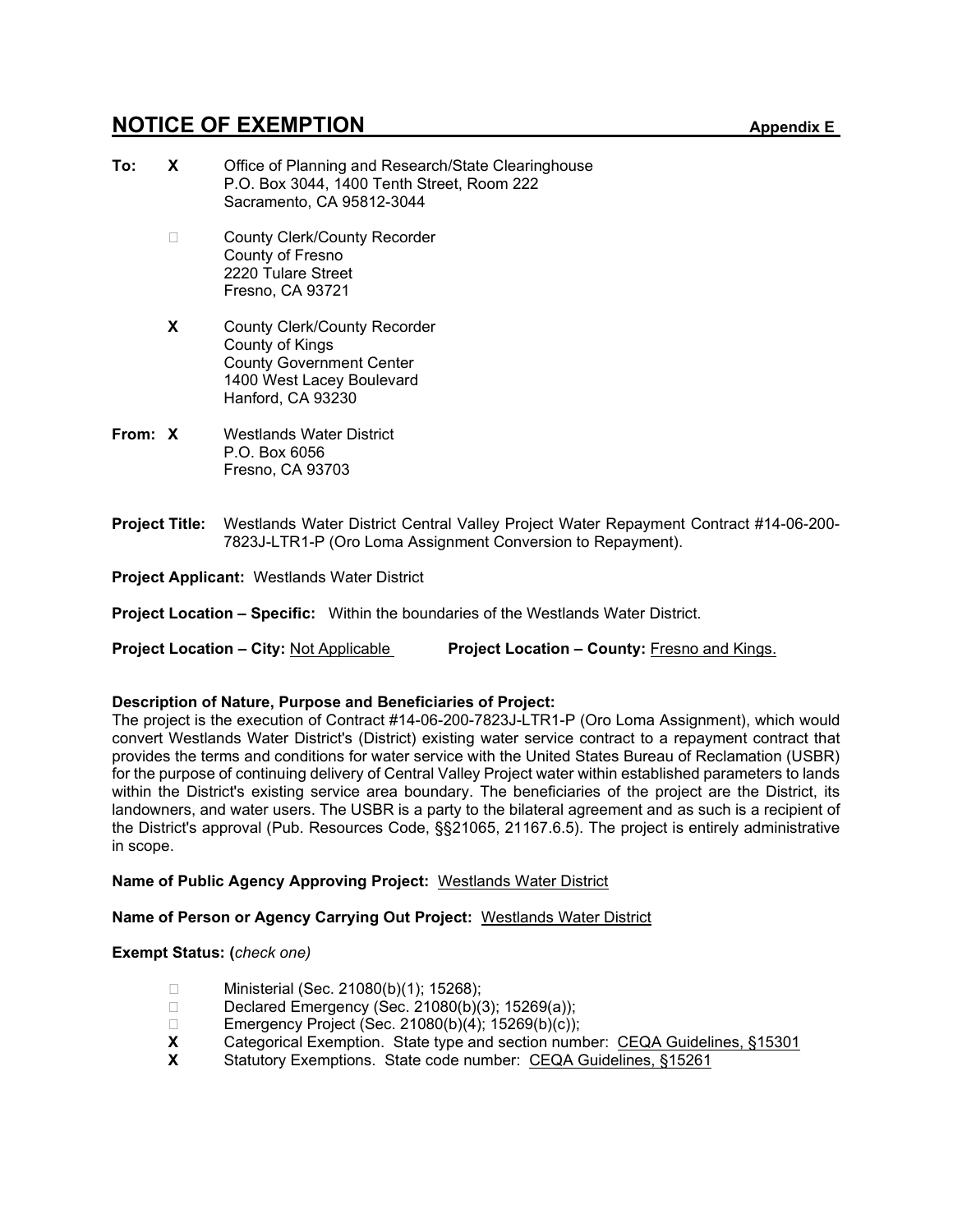# **NOTICE OF EXEMPTION** Appendix E

- **To: X** Office of Planning and Research/State Clearinghouse P.O. Box 3044, 1400 Tenth Street, Room 222 Sacramento, CA 95812-3044 □ County Clerk/County Recorder County of Fresno 2220 Tulare Street Fresno, CA 93721 **X** County Clerk/County Recorder County of Kings County Government Center 1400 West Lacey Boulevard Hanford, CA 93230
- **From: X** Westlands Water District P.O. Box 6056 Fresno, CA 93703
- **Project Title:** Westlands Water District Central Valley Project Water Repayment Contract #14-06-200- 7823J-LTR1-P (Oro Loma Assignment Conversion to Repayment).

**Project Applicant:** Westlands Water District

**Project Location – Specific:** Within the boundaries of the Westlands Water District.

**Project Location – City: Not Applicable Project Location – County: Fresno and Kings.** 

## **Description of Nature, Purpose and Beneficiaries of Project:**

The project is the execution of Contract #14-06-200-7823J-LTR1-P (Oro Loma Assignment), which would convert Westlands Water District's (District) existing water service contract to a repayment contract that provides the terms and conditions for water service with the United States Bureau of Reclamation (USBR) for the purpose of continuing delivery of Central Valley Project water within established parameters to lands within the District's existing service area boundary. The beneficiaries of the project are the District, its landowners, and water users. The USBR is a party to the bilateral agreement and as such is a recipient of the District's approval (Pub. Resources Code, §§21065, 21167.6.5). The project is entirely administrative in scope.

## **Name of Public Agency Approving Project:** Westlands Water District

## **Name of Person or Agency Carrying Out Project:** Westlands Water District

**Exempt Status: (***check one)*

- □ Ministerial (Sec. 21080(b)(1); 15268);
- Declared Emergency (Sec. 21080(b)(3); 15269(a));
- □ Emergency Project (Sec. 21080(b)(4); 15269(b)(c));<br>**X** Categorical Exemption. State type and section num
- **X** Categorical Exemption. State type and section number: CEQA Guidelines, §15301<br>**X** Statutory Exemptions, State code number: CEQA Guidelines, §15261
- **X** Statutory Exemptions. State code number: CEQA Guidelines, §15261